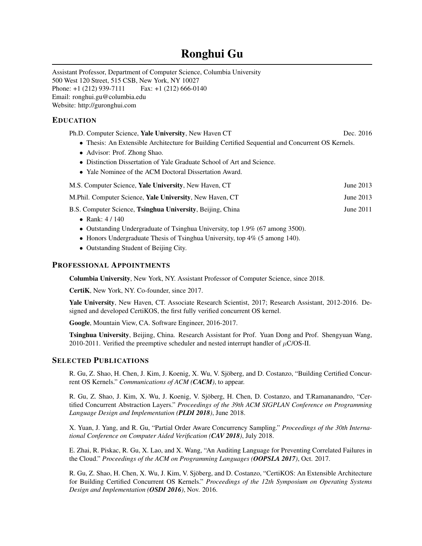# Ronghui Gu

Assistant Professor, Department of Computer Science, Columbia University 500 West 120 Street, 515 CSB, New York, NY 10027 Phone:  $+1$  (212) 939-7111 Fax:  $+1$  (212) 666-0140 Email: [ronghui.gu@columbia.edu](mailto:ronghui.gu@columbia.edu) Website: <http://guronghui.com>

## EDUCATION

| Ph.D. Computer Science, Yale University, New Haven CT                                             | Dec. 2016 |
|---------------------------------------------------------------------------------------------------|-----------|
| • Thesis: An Extensible Architecture for Building Certified Sequential and Concurrent OS Kernels. |           |
| • Advisor: Prof. Zhong Shao.                                                                      |           |
|                                                                                                   |           |

- Distinction Dissertation of Yale Graduate School of Art and Science.
- Yale Nominee of the ACM Doctoral Dissertation Award.

M.S. Computer Science, **Yale University**, New Haven, CT June 2013

- M.Phil. Computer Science, Yale University, New Haven, CT June 2013
- B.S. Computer Science, Tsinghua University, Beijing, China June 2011
	- Rank: 4/140
	- Outstanding Undergraduate of Tsinghua University, top 1.9% (67 among 3500).
	- Honors Undergraduate Thesis of Tsinghua University, top 4% (5 among 140).
	- Outstanding Student of Beijing City.

#### PROFESSIONAL APPOINTMENTS

Columbia University, New York, NY. Assistant Professor of Computer Science, since 2018.

CertiK, New York, NY. Co-founder, since 2017.

Yale University, New Haven, CT. Associate Research Scientist, 2017; Research Assistant, 2012-2016. Designed and developed [CertiKOS,](http://flint.cs.yale.edu/certikos/) the first fully verified concurrent OS kernel.

Google, Mountain View, CA. Software Engineer, 2016-2017.

Tsinghua University, Beijing, China. Research Assistant for Prof. Yuan Dong and Prof. Shengyuan Wang, 2010-2011. Verified the preemptive scheduler and nested interrupt handler of  $\mu$ [C/OS-II.](http://micrium.com/rtos/ucosii/overview/)

### SELECTED PUBLICATIONS

R. Gu, Z. Shao, H. Chen, J. Kim, J. Koenig, X. Wu, V. Sjöberg, and D. Costanzo, "Building Certified Concurrent OS Kernels." *Communications of ACM (CACM)*, to appear.

R. Gu, Z. Shao, J. Kim, X. Wu, J. Koenig, V. Sjöberg, H. Chen, D. Costanzo, and T.Ramananandro, "Certified Concurrent Abstraction Layers." *Proceedings of the 39th ACM SIGPLAN Conference on Programming Language Design and Implementation (PLDI 2018)*, June 2018.

X. Yuan, J. Yang, and R. Gu, "Partial Order Aware Concurrency Sampling." *Proceedings of the 30th International Conference on Computer Aided Verification (CAV 2018)*, July 2018.

E. Zhai, R. Piskac, R. Gu, X. Lao, and X. Wang, "An Auditing Language for Preventing Correlated Failures in the Cloud." *Proceedings of the ACM on Programming Languages (OOPSLA 2017)*, Oct. 2017.

R. Gu, Z. Shao, H. Chen, X. Wu, J. Kim, V. Sjöberg, and D. Costanzo, "CertiKOS: An Extensible Architecture for Building Certified Concurrent OS Kernels." *Proceedings of the 12th Symposium on Operating Systems Design and Implementation (OSDI 2016)*, Nov. 2016.